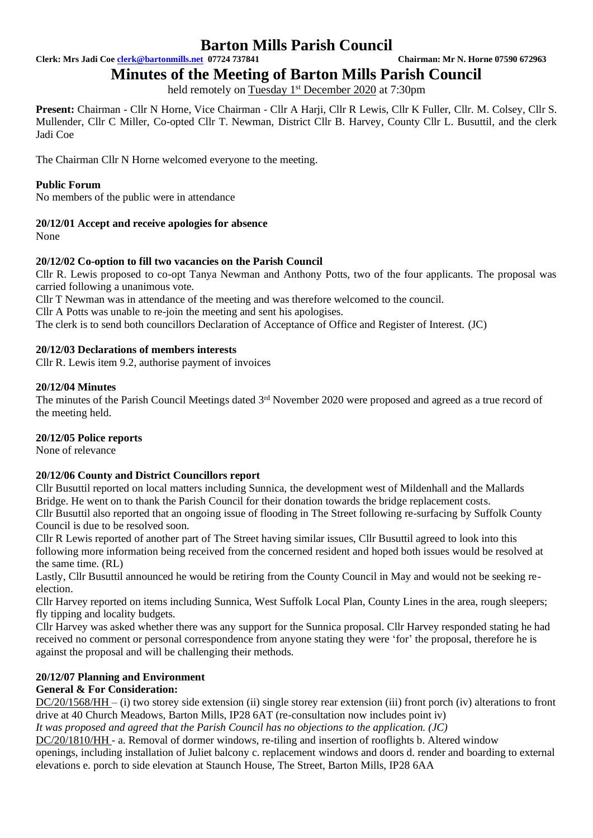**Clerk: Mrs Jadi Coe [clerk@bartonmills.net](mailto:clerk@bartonmills.net) 07724 737841 Chairman: Mr N. Horne 07590 672963**

**Minutes of the Meeting of Barton Mills Parish Council**

held remotely on Tuesday 1<sup>st</sup> December 2020 at 7:30pm

**Present:** Chairman - Cllr N Horne, Vice Chairman - Cllr A Harji, Cllr R Lewis, Cllr K Fuller, Cllr. M. Colsey, Cllr S. Mullender, Cllr C Miller, Co-opted Cllr T. Newman, District Cllr B. Harvey, County Cllr L. Busuttil, and the clerk Jadi Coe

The Chairman Cllr N Horne welcomed everyone to the meeting.

# **Public Forum**

No members of the public were in attendance

# **20/12/01 Accept and receive apologies for absence**

None

# **20/12/02 Co-option to fill two vacancies on the Parish Council**

Cllr R. Lewis proposed to co-opt Tanya Newman and Anthony Potts, two of the four applicants. The proposal was carried following a unanimous vote.

Cllr T Newman was in attendance of the meeting and was therefore welcomed to the council.

Cllr A Potts was unable to re-join the meeting and sent his apologises.

The clerk is to send both councillors Declaration of Acceptance of Office and Register of Interest. (JC)

# **20/12/03 Declarations of members interests**

Cllr R. Lewis item 9.2, authorise payment of invoices

# **20/12/04 Minutes**

The minutes of the Parish Council Meetings dated 3<sup>rd</sup> November 2020 were proposed and agreed as a true record of the meeting held.

# **20/12/05 Police reports**

None of relevance

# **20/12/06 County and District Councillors report**

Cllr Busuttil reported on local matters including Sunnica, the development west of Mildenhall and the Mallards Bridge. He went on to thank the Parish Council for their donation towards the bridge replacement costs. Cllr Busuttil also reported that an ongoing issue of flooding in The Street following re-surfacing by Suffolk County Council is due to be resolved soon.

Cllr R Lewis reported of another part of The Street having similar issues, Cllr Busuttil agreed to look into this following more information being received from the concerned resident and hoped both issues would be resolved at the same time. (RL)

Lastly, Cllr Busuttil announced he would be retiring from the County Council in May and would not be seeking reelection.

Cllr Harvey reported on items including Sunnica, West Suffolk Local Plan, County Lines in the area, rough sleepers; fly tipping and locality budgets.

Cllr Harvey was asked whether there was any support for the Sunnica proposal. Cllr Harvey responded stating he had received no comment or personal correspondence from anyone stating they were 'for' the proposal, therefore he is against the proposal and will be challenging their methods.

# **20/12/07 Planning and Environment**

# **General & For Consideration:**

DC/20/1568/HH – (i) two storey side extension (ii) single storey rear extension (iii) front porch (iv) alterations to front drive at 40 Church Meadows, Barton Mills, IP28 6AT (re-consultation now includes point iv)

*It was proposed and agreed that the Parish Council has no objections to the application. (JC)*

DC/20/1810/HH - a. Removal of dormer windows, re-tiling and insertion of rooflights b. Altered window openings, including installation of Juliet balcony c. replacement windows and doors d. render and boarding to external elevations e. porch to side elevation at Staunch House, The Street, Barton Mills, IP28 6AA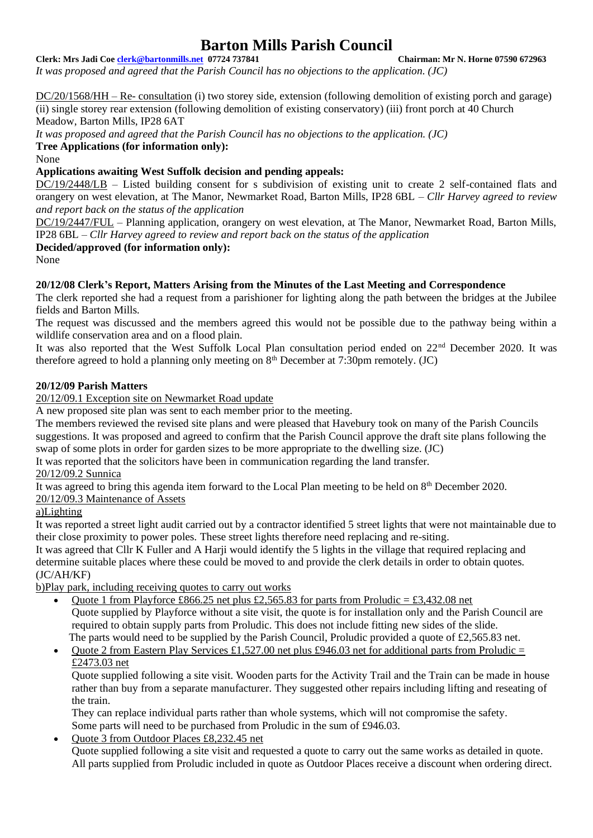#### **Clerk: Mrs Jadi Coe [clerk@bartonmills.net](mailto:clerk@bartonmills.net) 07724 737841 Chairman: Mr N. Horne 07590 672963**

*It was proposed and agreed that the Parish Council has no objections to the application. (JC)*

DC/20/1568/HH – Re- consultation (i) two storey side, extension (following demolition of existing porch and garage) (ii) single storey rear extension (following demolition of existing conservatory) (iii) front porch at 40 Church Meadow, Barton Mills, IP28 6AT

*It was proposed and agreed that the Parish Council has no objections to the application. (JC)*

**Tree Applications (for information only):**

None

**Applications awaiting West Suffolk decision and pending appeals:**

DC/19/2448/LB – Listed building consent for s subdivision of existing unit to create 2 self-contained flats and orangery on west elevation, at The Manor, Newmarket Road, Barton Mills, IP28 6BL – *Cllr Harvey agreed to review and report back on the status of the application*

DC/19/2447/FUL – Planning application, orangery on west elevation, at The Manor, Newmarket Road, Barton Mills, IP28 6BL – *Cllr Harvey agreed to review and report back on the status of the application*

**Decided/approved (for information only):**

None

# **20/12/08 Clerk's Report, Matters Arising from the Minutes of the Last Meeting and Correspondence**

The clerk reported she had a request from a parishioner for lighting along the path between the bridges at the Jubilee fields and Barton Mills.

The request was discussed and the members agreed this would not be possible due to the pathway being within a wildlife conservation area and on a flood plain.

It was also reported that the West Suffolk Local Plan consultation period ended on 22nd December 2020. It was therefore agreed to hold a planning only meeting on  $8<sup>th</sup>$  December at 7:30pm remotely. (JC)

# **20/12/09 Parish Matters**

20/12/09.1 Exception site on Newmarket Road update

A new proposed site plan was sent to each member prior to the meeting.

The members reviewed the revised site plans and were pleased that Havebury took on many of the Parish Councils suggestions. It was proposed and agreed to confirm that the Parish Council approve the draft site plans following the swap of some plots in order for garden sizes to be more appropriate to the dwelling size. (JC)

It was reported that the solicitors have been in communication regarding the land transfer.

# 20/12/09.2 Sunnica

It was agreed to bring this agenda item forward to the Local Plan meeting to be held on 8th December 2020.

# 20/12/09.3 Maintenance of Assets

# a)Lighting

It was reported a street light audit carried out by a contractor identified 5 street lights that were not maintainable due to their close proximity to power poles. These street lights therefore need replacing and re-siting.

It was agreed that Cllr K Fuller and A Harji would identify the 5 lights in the village that required replacing and determine suitable places where these could be moved to and provide the clerk details in order to obtain quotes. (JC/AH/KF)

b)Play park, including receiving quotes to carry out works

- Quote 1 from Playforce £866.25 net plus £2,565.83 for parts from Proludic = £3,432.08 net Quote supplied by Playforce without a site visit, the quote is for installation only and the Parish Council are required to obtain supply parts from Proludic. This does not include fitting new sides of the slide. The parts would need to be supplied by the Parish Council, Proludic provided a quote of £2,565.83 net.
- Quote 2 from Eastern Play Services £1,527.00 net plus £946.03 net for additional parts from Proludic = £2473.03 net

Quote supplied following a site visit. Wooden parts for the Activity Trail and the Train can be made in house rather than buy from a separate manufacturer. They suggested other repairs including lifting and reseating of the train.

They can replace individual parts rather than whole systems, which will not compromise the safety. Some parts will need to be purchased from Proludic in the sum of £946.03.

• Quote 3 from Outdoor Places £8,232.45 net

Quote supplied following a site visit and requested a quote to carry out the same works as detailed in quote. All parts supplied from Proludic included in quote as Outdoor Places receive a discount when ordering direct.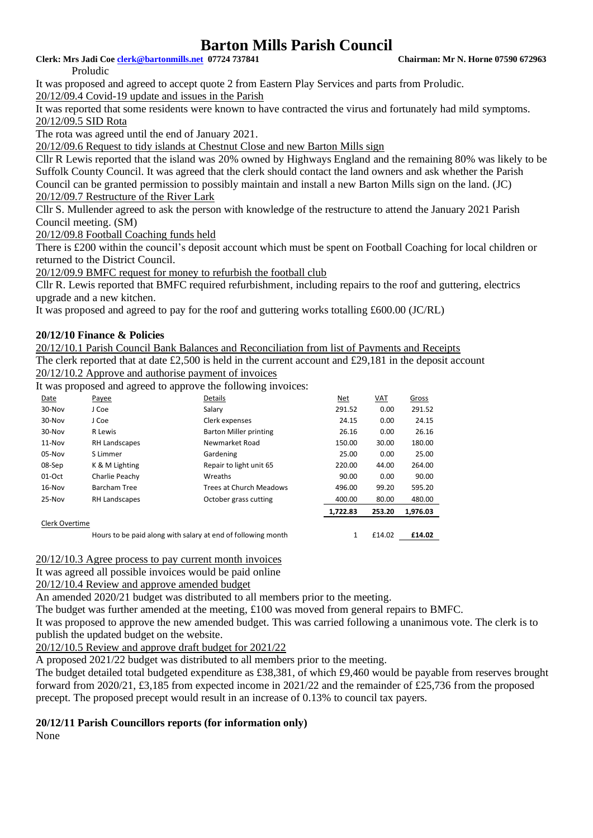**Clerk: Mrs Jadi Coe [clerk@bartonmills.net](mailto:clerk@bartonmills.net) 07724 737841 Chairman: Mr N. Horne 07590 672963**

Proludic

It was proposed and agreed to accept quote 2 from Eastern Play Services and parts from Proludic. 20/12/09.4 Covid-19 update and issues in the Parish

It was reported that some residents were known to have contracted the virus and fortunately had mild symptoms. 20/12/09.5 SID Rota

The rota was agreed until the end of January 2021.

20/12/09.6 Request to tidy islands at Chestnut Close and new Barton Mills sign

Cllr R Lewis reported that the island was 20% owned by Highways England and the remaining 80% was likely to be Suffolk County Council. It was agreed that the clerk should contact the land owners and ask whether the Parish Council can be granted permission to possibly maintain and install a new Barton Mills sign on the land. (JC) 20/12/09.7 Restructure of the River Lark

Cllr S. Mullender agreed to ask the person with knowledge of the restructure to attend the January 2021 Parish Council meeting. (SM)

20/12/09.8 Football Coaching funds held

There is £200 within the council's deposit account which must be spent on Football Coaching for local children or returned to the District Council.

20/12/09.9 BMFC request for money to refurbish the football club

Cllr R. Lewis reported that BMFC required refurbishment, including repairs to the roof and guttering, electrics upgrade and a new kitchen.

It was proposed and agreed to pay for the roof and guttering works totalling £600.00 (JC/RL)

# **20/12/10 Finance & Policies**

20/12/10.1 Parish Council Bank Balances and Reconciliation from list of Payments and Receipts The clerk reported that at date  $\text{\pounds}2,500$  is held in the current account and  $\text{\pounds}29,181$  in the deposit account 20/12/10.2 Approve and authorise payment of invoices

It was proposed and agreed to approve the following invoices:

|                | - -                                                          |                               |          |        |          |
|----------------|--------------------------------------------------------------|-------------------------------|----------|--------|----------|
| Date           | Payee                                                        | Details                       | Net      | VAT    | Gross    |
| 30-Nov         | J Coe                                                        | Salary                        | 291.52   | 0.00   | 291.52   |
| 30-Nov         | J Coe                                                        | Clerk expenses                | 24.15    | 0.00   | 24.15    |
| 30-Nov         | R Lewis                                                      | <b>Barton Miller printing</b> | 26.16    | 0.00   | 26.16    |
| 11-Nov         | <b>RH Landscapes</b>                                         | Newmarket Road                | 150.00   | 30.00  | 180.00   |
| 05-Nov         | S Limmer                                                     | Gardening                     | 25.00    | 0.00   | 25.00    |
| 08-Sep         | K & M Lighting                                               | Repair to light unit 65       | 220.00   | 44.00  | 264.00   |
| 01-Oct         | Charlie Peachy                                               | Wreaths                       | 90.00    | 0.00   | 90.00    |
| 16-Nov         | Barcham Tree                                                 | Trees at Church Meadows       | 496.00   | 99.20  | 595.20   |
| 25-Nov         | RH Landscapes                                                | October grass cutting         | 400.00   | 80.00  | 480.00   |
|                |                                                              |                               | 1,722.83 | 253.20 | 1,976.03 |
| Clerk Overtime |                                                              |                               |          |        |          |
|                | Hours to be paid along with salary at end of following month |                               |          | £14.02 | £14.02   |
|                |                                                              |                               |          |        |          |

20/12/10.3 Agree process to pay current month invoices

It was agreed all possible invoices would be paid online

20/12/10.4 Review and approve amended budget

An amended 2020/21 budget was distributed to all members prior to the meeting.

The budget was further amended at the meeting, £100 was moved from general repairs to BMFC.

It was proposed to approve the new amended budget. This was carried following a unanimous vote. The clerk is to publish the updated budget on the website.

20/12/10.5 Review and approve draft budget for 2021/22

A proposed 2021/22 budget was distributed to all members prior to the meeting.

The budget detailed total budgeted expenditure as £38,381, of which £9,460 would be payable from reserves brought forward from 2020/21, £3,185 from expected income in 2021/22 and the remainder of £25,736 from the proposed precept. The proposed precept would result in an increase of 0.13% to council tax payers.

# **20/12/11 Parish Councillors reports (for information only)**

None